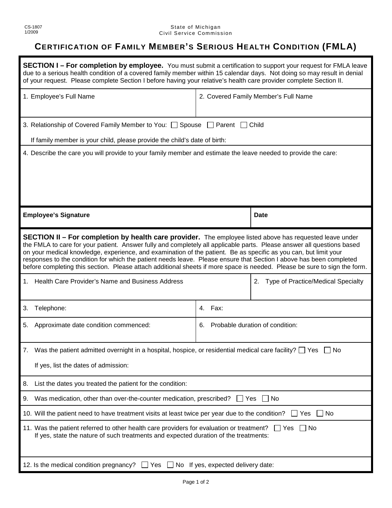## **CERTIFICATION OF FAMILY MEMBER'S SERIOUS HEALTH CONDITION (FMLA)**

| <b>SECTION I – For completion by employee.</b> You must submit a certification to support your request for FMLA leave<br>due to a serious health condition of a covered family member within 15 calendar days. Not doing so may result in denial<br>of your request. Please complete Section I before having your relative's health care provider complete Section II.                                                                                                                                                                                                                                            |                                       |                                       |  |
|-------------------------------------------------------------------------------------------------------------------------------------------------------------------------------------------------------------------------------------------------------------------------------------------------------------------------------------------------------------------------------------------------------------------------------------------------------------------------------------------------------------------------------------------------------------------------------------------------------------------|---------------------------------------|---------------------------------------|--|
| 1. Employee's Full Name                                                                                                                                                                                                                                                                                                                                                                                                                                                                                                                                                                                           | 2. Covered Family Member's Full Name  |                                       |  |
| 3. Relationship of Covered Family Member to You: Spouse Prarent C Child                                                                                                                                                                                                                                                                                                                                                                                                                                                                                                                                           |                                       |                                       |  |
| If family member is your child, please provide the child's date of birth:                                                                                                                                                                                                                                                                                                                                                                                                                                                                                                                                         |                                       |                                       |  |
| 4. Describe the care you will provide to your family member and estimate the leave needed to provide the care:                                                                                                                                                                                                                                                                                                                                                                                                                                                                                                    |                                       |                                       |  |
| <b>Employee's Signature</b>                                                                                                                                                                                                                                                                                                                                                                                                                                                                                                                                                                                       |                                       | <b>Date</b>                           |  |
| <b>SECTION II - For completion by health care provider.</b> The employee listed above has requested leave under<br>the FMLA to care for your patient. Answer fully and completely all applicable parts. Please answer all questions based<br>on your medical knowledge, experience, and examination of the patient. Be as specific as you can, but limit your<br>responses to the condition for which the patient needs leave. Please ensure that Section I above has been completed<br>before completing this section. Please attach additional sheets if more space is needed. Please be sure to sign the form. |                                       |                                       |  |
| 1. Health Care Provider's Name and Business Address                                                                                                                                                                                                                                                                                                                                                                                                                                                                                                                                                               |                                       | 2. Type of Practice/Medical Specialty |  |
| Telephone:<br>3.                                                                                                                                                                                                                                                                                                                                                                                                                                                                                                                                                                                                  | Fax:<br>4.                            |                                       |  |
| Approximate date condition commenced:<br>5.                                                                                                                                                                                                                                                                                                                                                                                                                                                                                                                                                                       | Probable duration of condition:<br>6. |                                       |  |
| Was the patient admitted overnight in a hospital, hospice, or residential medical care facility? $\Box$ Yes $\Box$ No<br>7.                                                                                                                                                                                                                                                                                                                                                                                                                                                                                       |                                       |                                       |  |
| If yes, list the dates of admission:                                                                                                                                                                                                                                                                                                                                                                                                                                                                                                                                                                              |                                       |                                       |  |
| List the dates you treated the patient for the condition:<br>8.                                                                                                                                                                                                                                                                                                                                                                                                                                                                                                                                                   |                                       |                                       |  |
| Was medication, other than over-the-counter medication, prescribed?<br>$\Box$ Yes<br>No.<br>9.                                                                                                                                                                                                                                                                                                                                                                                                                                                                                                                    |                                       |                                       |  |
| 10. Will the patient need to have treatment visits at least twice per year due to the condition?<br>l INo<br>Yes                                                                                                                                                                                                                                                                                                                                                                                                                                                                                                  |                                       |                                       |  |
| 11. Was the patient referred to other health care providers for evaluation or treatment?<br>__  Yes<br>l INo<br>If yes, state the nature of such treatments and expected duration of the treatments:                                                                                                                                                                                                                                                                                                                                                                                                              |                                       |                                       |  |
| 12. Is the medical condition pregnancy? $\Box$ Yes $\Box$ No If yes, expected delivery date:                                                                                                                                                                                                                                                                                                                                                                                                                                                                                                                      |                                       |                                       |  |